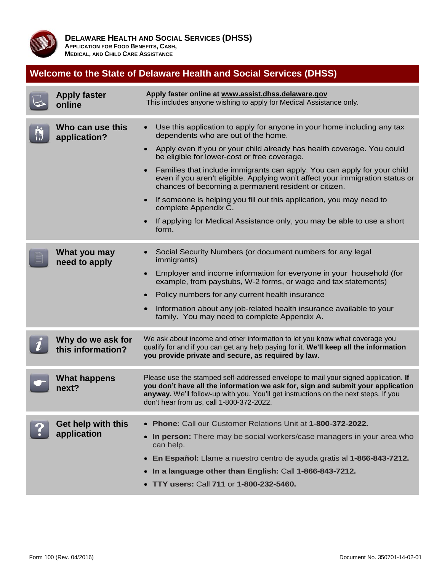

# **Welcome to the State of Delaware Health and Social Services (DHSS)**

| <b>Apply faster</b><br>online          | Apply faster online at www.assist.dhss.delaware.gov<br>This includes anyone wishing to apply for Medical Assistance only.                                                                                                                                                                                                                                                                                                                                                                                                                                                                                                                                      |  |  |  |  |
|----------------------------------------|----------------------------------------------------------------------------------------------------------------------------------------------------------------------------------------------------------------------------------------------------------------------------------------------------------------------------------------------------------------------------------------------------------------------------------------------------------------------------------------------------------------------------------------------------------------------------------------------------------------------------------------------------------------|--|--|--|--|
| Who can use this<br>application?       | Use this application to apply for anyone in your home including any tax<br>$\bullet$<br>dependents who are out of the home.<br>Apply even if you or your child already has health coverage. You could<br>be eligible for lower-cost or free coverage.<br>Families that include immigrants can apply. You can apply for your child<br>even if you aren't eligible. Applying won't affect your immigration status or<br>chances of becoming a permanent resident or citizen.<br>If someone is helping you fill out this application, you may need to<br>complete Appendix C.<br>If applying for Medical Assistance only, you may be able to use a short<br>form. |  |  |  |  |
| What you may<br>need to apply          | Social Security Numbers (or document numbers for any legal<br>immigrants)<br>Employer and income information for everyone in your household (for<br>$\bullet$<br>example, from paystubs, W-2 forms, or wage and tax statements)<br>Policy numbers for any current health insurance<br>Information about any job-related health insurance available to your<br>family. You may need to complete Appendix A.                                                                                                                                                                                                                                                     |  |  |  |  |
| Why do we ask for<br>this information? | We ask about income and other information to let you know what coverage you<br>qualify for and if you can get any help paying for it. We'll keep all the information<br>you provide private and secure, as required by law.                                                                                                                                                                                                                                                                                                                                                                                                                                    |  |  |  |  |
| <b>What happens</b><br>next?           | Please use the stamped self-addressed envelope to mail your signed application. If<br>you don't have all the information we ask for, sign and submit your application<br>anyway. We'll follow-up with you. You'll get instructions on the next steps. If you<br>don't hear from us, call 1-800-372-2022.                                                                                                                                                                                                                                                                                                                                                       |  |  |  |  |
| Get help with this<br>application      | Phone: Call our Customer Relations Unit at 1-800-372-2022.<br>In person: There may be social workers/case managers in your area who<br>can help.<br>En Español: Llame a nuestro centro de ayuda gratis al 1-866-843-7212.<br>$\bullet$<br>In a language other than English: Call 1-866-843-7212.<br>TTY users: Call 711 or 1-800-232-5460.                                                                                                                                                                                                                                                                                                                     |  |  |  |  |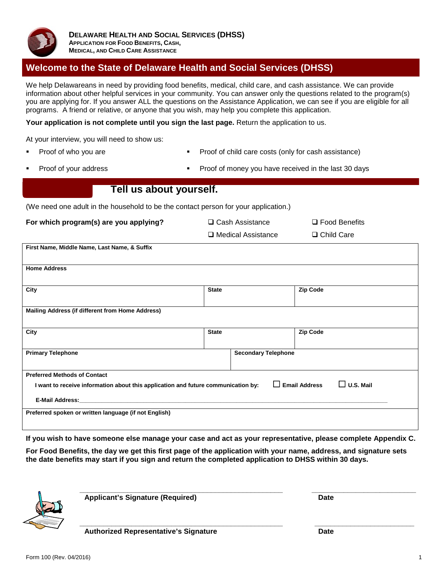

## **Welcome to the State of Delaware Health and Social Services (DHSS)**

We help Delawareans in need by providing food benefits, medical, child care, and cash assistance. We can provide information about other helpful services in your community. You can answer only the questions related to the program(s) you are applying for. If you answer ALL the questions on the Assistance Application, we can see if you are eligible for all programs. A friend or relative, or anyone that you wish, may help you complete this application.

**Your application is not complete until you sign the last page.** Return the application to us.

At your interview, you will need to show us:

- Proof of who you are **Proof of child care costs (only for cash assistance)** Proof of child care costs (only for cash assistance)
- - Proof of your address Proof of money you have received in the last 30 days

## **Tell us about yourself.**

(We need one adult in the household to be the contact person for your application.)

**For which program(s) are you applying?**  $\square$  Cash Assistance  $\square$  Food Benefits

| First Name, Middle Name, Last Name, & Suffix                                      |              |                            |                                          |
|-----------------------------------------------------------------------------------|--------------|----------------------------|------------------------------------------|
| <b>Home Address</b>                                                               |              |                            |                                          |
| City                                                                              | <b>State</b> |                            | <b>Zip Code</b>                          |
| Mailing Address (if different from Home Address)                                  |              |                            |                                          |
|                                                                                   |              |                            |                                          |
| City                                                                              | <b>State</b> |                            | <b>Zip Code</b>                          |
| <b>Primary Telephone</b>                                                          |              | <b>Secondary Telephone</b> |                                          |
| <b>Preferred Methods of Contact</b>                                               |              |                            |                                          |
| I want to receive information about this application and future communication by: |              | $\mathbf{I}$               | <b>Email Address</b><br>$\Box$ U.S. Mail |
| <b>E-Mail Address:</b>                                                            |              |                            |                                          |
| Preferred spoken or written language (if not English)                             |              |                            |                                          |

**If you wish to have someone else manage your case and act as your representative, please complete Appendix C.**

**\_\_\_\_\_\_\_\_\_\_\_\_\_\_\_\_\_\_\_\_\_\_\_\_\_\_\_\_\_\_\_\_\_\_\_\_\_\_\_\_\_\_\_\_\_\_\_\_\_\_\_ \_\_\_\_\_\_\_\_\_\_\_\_\_\_\_\_\_\_\_\_\_\_\_\_\_**

**For Food Benefits, the day we get this first page of the application with your name, address, and signature sets the date benefits may start if you sign and return the completed application to DHSS within 30 days.**



**\_\_\_\_\_\_\_\_\_\_\_\_\_\_\_\_\_\_\_\_\_\_\_\_\_\_\_\_\_\_\_\_\_\_\_\_\_\_\_\_\_\_\_\_\_\_\_\_\_\_\_ \_\_\_\_\_\_\_\_\_\_\_\_\_\_\_\_\_\_\_\_\_\_\_\_\_\_ Applicant's Signature (Required) Date**

**Authorized Representative's Signature Date**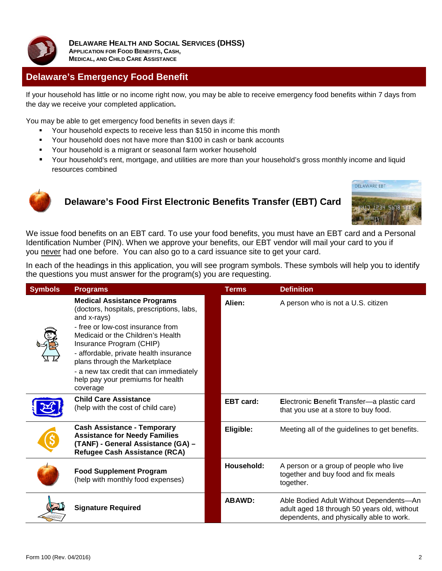

**DELAWARE HEALTH AND SOCIAL SERVICES (DHSS) APPLICATION FOR FOOD BENEFITS, CASH, MEDICAL, AND CHILD CARE ASSISTANCE**

## **Delaware's Emergency Food Benefit**

If your household has little or no income right now, you may be able to receive emergency food benefits within 7 days from the day we receive your completed application**.**

You may be able to get emergency food benefits in seven days if:

- Your household expects to receive less than \$150 in income this month
- Your household does not have more than \$100 in cash or bank accounts
- **•** Your household is a migrant or seasonal farm worker household
- Your household's rent, mortgage, and utilities are more than your household's gross monthly income and liquid resources combined



## **Delaware's Food First Electronic Benefits Transfer (EBT) Card**



We issue food benefits on an EBT card. To use your food benefits, you must have an EBT card and a Personal Identification Number (PIN). When we approve your benefits, our EBT vendor will mail your card to you if you never had one before. You can also go to a card issuance site to get your card.

In each of the headings in this application, you will see program symbols. These symbols will help you to identify the questions you must answer for the program(s) you are requesting.

| <b>Symbols</b> | <b>Programs</b>                                                                                                                                                                                                                                                                                                                                                             | <b>Terms</b>     | <b>Definition</b>                                                                                                                  |
|----------------|-----------------------------------------------------------------------------------------------------------------------------------------------------------------------------------------------------------------------------------------------------------------------------------------------------------------------------------------------------------------------------|------------------|------------------------------------------------------------------------------------------------------------------------------------|
|                | <b>Medical Assistance Programs</b><br>(doctors, hospitals, prescriptions, labs,<br>and x-rays)<br>- free or low-cost insurance from<br>Medicaid or the Children's Health<br>Insurance Program (CHIP)<br>- affordable, private health insurance<br>plans through the Marketplace<br>- a new tax credit that can immediately<br>help pay your premiums for health<br>coverage | Alien:           | A person who is not a U.S. citizen                                                                                                 |
|                | <b>Child Care Assistance</b><br>(help with the cost of child care)                                                                                                                                                                                                                                                                                                          | <b>EBT</b> card: | Electronic Benefit Transfer-a plastic card<br>that you use at a store to buy food.                                                 |
|                | <b>Cash Assistance - Temporary</b><br><b>Assistance for Needy Families</b><br>(TANF) - General Assistance (GA) -<br>Refugee Cash Assistance (RCA)                                                                                                                                                                                                                           | Eligible:        | Meeting all of the guidelines to get benefits.                                                                                     |
|                | <b>Food Supplement Program</b><br>(help with monthly food expenses)                                                                                                                                                                                                                                                                                                         | Household:       | A person or a group of people who live<br>together and buy food and fix meals<br>together.                                         |
|                | <b>Signature Required</b>                                                                                                                                                                                                                                                                                                                                                   | <b>ABAWD:</b>    | Able Bodied Adult Without Dependents-An<br>adult aged 18 through 50 years old, without<br>dependents, and physically able to work. |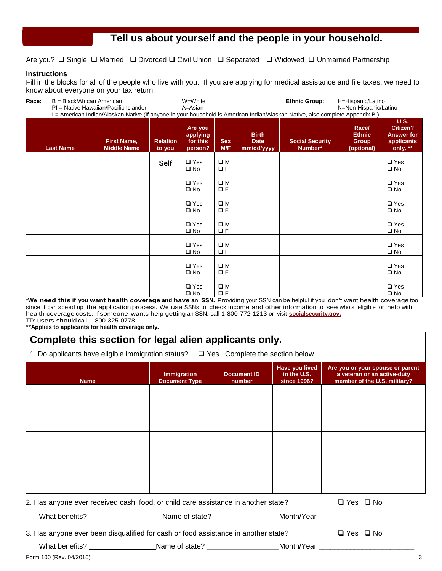## Tell us about yourself and the people in your household.

Are you?  $\Box$  Single  $\Box$  Married  $\Box$  Divorced  $\Box$  Civil Union  $\Box$  Separated  $\Box$  Widowed  $\Box$  Unmarried Partnership

#### **Instructions**

Fill in the blocks for all of the people who live with you. If you are applying for medical assistance and file taxes, we need to know about everyone on your tax return.

**Race:** B = Black/African American W=White **Ethnic Group:** H=Hispanic/Latino PI = Native Hawaiian/Pacific Islander I = American Indian/Alaskan Native (If anyone in your household is American Indian/Alaskan Native, also complete Appendix B.) **Last Name First Name, Middle Name Relation to you Are you applying for this person? Sex M/F Birth Date mm/dd/yyyy Social Security Number\* Race/ Ethnic Group (optional) U.S. Citizen? Answer for applicants only. \*\***

|  | <b>Self</b> | $\square$ Yes<br>$\square$ No | $\square$ M<br>$\Box F$ |  |  | $\square$ Yes<br>$\square$ No |
|--|-------------|-------------------------------|-------------------------|--|--|-------------------------------|
|  |             | $\square$ Yes<br>$\square$ No | $\square$ M<br>$\Box F$ |  |  | $\square$ Yes<br>$\square$ No |
|  |             | $\square$ Yes<br>$\square$ No | $\square$ M<br>$\Box F$ |  |  | $\square$ Yes<br>$\square$ No |
|  |             | $\square$ Yes<br>$\square$ No | $\square$ M<br>$\Box F$ |  |  | $\square$ Yes<br>$\square$ No |
|  |             | $\square$ Yes<br>$\square$ No | $\square$ M<br>$\Box F$ |  |  | $\square$ Yes<br>$\square$ No |
|  |             | $\square$ Yes<br>$\square$ No | $\square$ M<br>$\Box F$ |  |  | $\square$ Yes<br>$\square$ No |
|  |             | $\square$ Yes<br>$\square$ No | $\square$ M<br>$\Box F$ |  |  | $\square$ Yes<br>$\square$ No |

**\*We need this if you want health coverage and have an SSN.** Providing your SSN can be helpful if you don't want health coverage too since it can speed up the application process. We use SSNs to check income and other information to see who's eligible for help with health coverage costs. If someone wants help getting an SSN, call 1-800-772-1213 or visit **[socialsecurity.gov.](http://socialsecurity.gov)** TTY users should call 1-800-325-0778.

**\*\*Applies to applicants for health coverage only.** 

## **Complete this section for legal alien applicants only.**

1. Do applicants have eligible immigration status?  $\Box$  Yes. Complete the section below.

| <b>Name</b>                                                                                                | <b>Immigration</b><br><b>Document Type</b> | <b>Document ID</b><br>number | Have you lived<br>in the U.S.<br>since 1996? | Are you or your spouse or parent<br>a veteran or an active-duty<br>member of the U.S. military? |
|------------------------------------------------------------------------------------------------------------|--------------------------------------------|------------------------------|----------------------------------------------|-------------------------------------------------------------------------------------------------|
|                                                                                                            |                                            |                              |                                              |                                                                                                 |
|                                                                                                            |                                            |                              |                                              |                                                                                                 |
|                                                                                                            |                                            |                              |                                              |                                                                                                 |
|                                                                                                            |                                            |                              |                                              |                                                                                                 |
|                                                                                                            |                                            |                              |                                              |                                                                                                 |
|                                                                                                            |                                            |                              |                                              |                                                                                                 |
|                                                                                                            |                                            |                              |                                              |                                                                                                 |
| 2. Has anyone ever received cash, food, or child care assistance in another state?                         |                                            |                              |                                              | $\Box$ Yes $\Box$ No                                                                            |
|                                                                                                            |                                            |                              |                                              |                                                                                                 |
| 3. Has anyone ever been disqualified for cash or food assistance in another state?                         |                                            |                              |                                              | $\Box$ Yes $\Box$ No                                                                            |
| What benefits? ______________________Name of state? ____________________Month/Year _______________________ |                                            |                              |                                              |                                                                                                 |
| Form 100 (Rev. 04/2016)                                                                                    |                                            |                              |                                              | 3                                                                                               |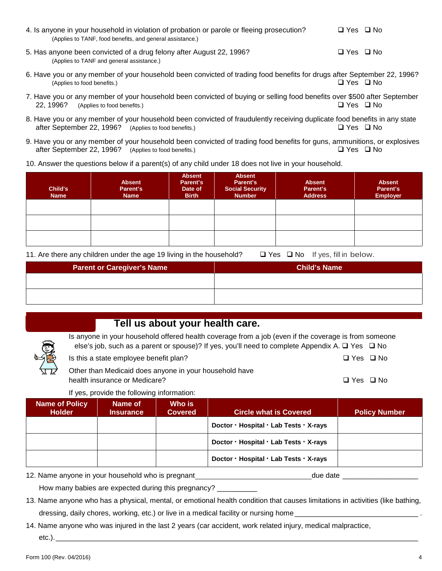| 4. Is anyone in your household in violation of probation or parole or fleeing prosecution? | □ Yes □ No |
|--------------------------------------------------------------------------------------------|------------|
| (Applies to TANF, food benefits, and general assistance.)                                  |            |
|                                                                                            |            |

- 5. Has anyone been convicted of a drug felony after August 22, 1996?  $\Box$  Yes  $\Box$  Yes  $\Box$  No (Applies to TANF and general assistance.)
- 6. Have you or any member of your household been convicted of trading food benefits for drugs after September 22, 1996?<br>(Applies to food benefits.) Q Yes Q No (Applies to food benefits.)
- 7. Have you or any member of your household been convicted of buying or selling food benefits over \$500 after September 22, 1996? (Applies to food benefits.)  $\Box$  Yes  $\Box$  No
- 8. Have you or any member of your household been convicted of fraudulently receiving duplicate food benefits in any state after September 22, 1996? (Applies to food benefits.) after September 22, 1996? (Applies to food benefits.)
- 9. Have you or any member of your household been convicted of trading food benefits for guns, ammunitions, or explosives after September 22. 1996? (Applies to food benefits.) after September 22, 1996? (Applies to food benefits.)
- 10. Answer the questions below if a parent(s) of any child under 18 does not live in your household.

| Child's<br><b>Name</b> | <b>Absent</b><br>Parent's<br><b>Name</b> | <b>Absent</b><br>Parent's<br>Date of<br><b>Birth</b> | <b>Absent</b><br>Parent's<br><b>Social Security</b><br><b>Number</b> | <b>Absent</b><br>Parent's<br><b>Address</b> | <b>Absent</b><br>Parent's<br><b>Employer</b> |
|------------------------|------------------------------------------|------------------------------------------------------|----------------------------------------------------------------------|---------------------------------------------|----------------------------------------------|
|                        |                                          |                                                      |                                                                      |                                             |                                              |
|                        |                                          |                                                      |                                                                      |                                             |                                              |
|                        |                                          |                                                      |                                                                      |                                             |                                              |

11. Are there any children under the age 19 living in the household?  $\Box$  Yes  $\Box$  No If yes, fill in below.

| <b>Parent or Caregiver's Name</b> | <b>Child's Name</b> |
|-----------------------------------|---------------------|
|                                   |                     |
|                                   |                     |

## Tell us about your health care.

| Is anyone in your household offered health coverage from a job (even if the coverage is from someone      |                      |  |
|-----------------------------------------------------------------------------------------------------------|----------------------|--|
| else's job, such as a parent or spouse)? If yes, you'll need to complete Appendix A. $\Box$ Yes $\Box$ No |                      |  |
| Is this a state employee benefit plan?                                                                    | □ Yes □ No           |  |
| Other than Medicaid does anyone in your household have                                                    |                      |  |
| health insurance or Medicare?                                                                             | $\Box$ Yes $\Box$ No |  |

If yes, provide the following information:

| <b>Name of Policy</b><br><b>Holder</b> | Name of<br><b>Insurance</b> | Who is<br><b>Covered</b> | <b>Circle what is Covered</b>          | <b>Policy Number</b> |
|----------------------------------------|-----------------------------|--------------------------|----------------------------------------|----------------------|
|                                        |                             |                          | Doctor - Hospital - Lab Tests - X-rays |                      |
|                                        |                             |                          | Doctor - Hospital - Lab Tests - X-rays |                      |
|                                        |                             |                          | Doctor · Hospital · Lab Tests · X-rays |                      |

12. Name anyone in your household who is pregnant due to the date date date due date

How many babies are expected during this pregnancy?

- 13. Name anyone who has a physical, mental, or emotional health condition that causes limitations in activities (like bathing, dressing, daily chores, working, etc.) or live in a medical facility or nursing home
- 14. Name anyone who was injured in the last 2 years (car accident, work related injury, medical malpractice, etc.).\_\_\_\_\_\_\_\_\_\_\_\_\_\_\_\_\_\_\_\_\_\_\_\_\_\_\_\_\_\_\_\_\_\_\_\_\_\_\_\_\_\_\_\_\_\_\_\_\_\_\_\_\_\_\_\_\_\_\_\_\_\_\_\_\_\_\_\_\_\_\_\_\_\_\_\_\_\_\_\_\_\_\_\_\_\_\_\_\_\_\_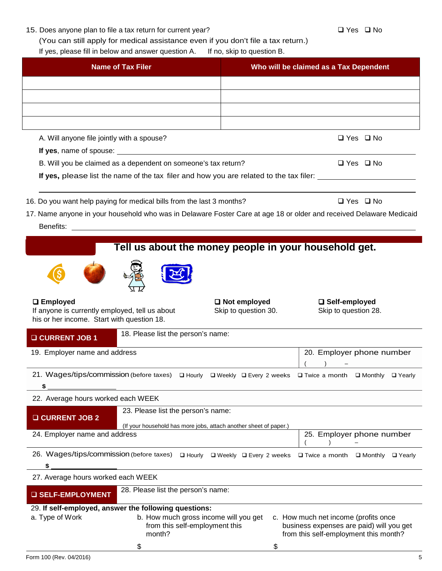|  |  |  |  |  |  | 15. Does anyone plan to file a tax return for current year? |
|--|--|--|--|--|--|-------------------------------------------------------------|
|--|--|--|--|--|--|-------------------------------------------------------------|

(You can still apply for medical assistance even if you don't file a tax return.)

If yes, please fill in below and answer question A. If no, skip to question B.

| <b>Name of Tax Filer</b>                                                                     |                                                                                                                                                                                                                                |                      | Who will be claimed as a Tax Dependent                                                                                    |  |  |
|----------------------------------------------------------------------------------------------|--------------------------------------------------------------------------------------------------------------------------------------------------------------------------------------------------------------------------------|----------------------|---------------------------------------------------------------------------------------------------------------------------|--|--|
|                                                                                              |                                                                                                                                                                                                                                |                      |                                                                                                                           |  |  |
|                                                                                              |                                                                                                                                                                                                                                |                      |                                                                                                                           |  |  |
|                                                                                              |                                                                                                                                                                                                                                |                      |                                                                                                                           |  |  |
| A. Will anyone file jointly with a spouse?                                                   |                                                                                                                                                                                                                                |                      | $\Box$ Yes $\Box$ No                                                                                                      |  |  |
|                                                                                              | If yes, name of spouse: Management of the spouse of spouse and the spouse of the spanner of the spanner of the spanner of the spanner of the spanner of the spanner of the spanner of the spanner of the spanner of the spanne |                      |                                                                                                                           |  |  |
|                                                                                              | B. Will you be claimed as a dependent on someone's tax return?                                                                                                                                                                 |                      | $\Box$ Yes $\Box$ No                                                                                                      |  |  |
|                                                                                              | If yes, please list the name of the tax filer and how you are related to the tax filer:                                                                                                                                        |                      |                                                                                                                           |  |  |
|                                                                                              | 16. Do you want help paying for medical bills from the last 3 months?                                                                                                                                                          |                      | $\Box$ Yes $\Box$ No                                                                                                      |  |  |
|                                                                                              |                                                                                                                                                                                                                                |                      | 17. Name anyone in your household who was in Delaware Foster Care at age 18 or older and received Delaware Medicaid       |  |  |
| Benefits:                                                                                    |                                                                                                                                                                                                                                |                      |                                                                                                                           |  |  |
|                                                                                              | Tell us about the money people in your household get.                                                                                                                                                                          |                      |                                                                                                                           |  |  |
|                                                                                              |                                                                                                                                                                                                                                |                      |                                                                                                                           |  |  |
|                                                                                              |                                                                                                                                                                                                                                |                      |                                                                                                                           |  |  |
| <b>Q</b> Employed                                                                            |                                                                                                                                                                                                                                | $\Box$ Not employed  | □ Self-employed                                                                                                           |  |  |
| If anyone is currently employed, tell us about<br>his or her income. Start with question 18. |                                                                                                                                                                                                                                | Skip to question 30. | Skip to question 28.                                                                                                      |  |  |
|                                                                                              | 18. Please list the person's name:                                                                                                                                                                                             |                      |                                                                                                                           |  |  |
| <b>Q CURRENT JOB 1</b><br>19. Employer name and address                                      |                                                                                                                                                                                                                                |                      |                                                                                                                           |  |  |
|                                                                                              |                                                                                                                                                                                                                                |                      | 20. Employer phone number                                                                                                 |  |  |
| \$                                                                                           |                                                                                                                                                                                                                                |                      | 21. Wages/tips/commission (before taxes) a Hourly a Weekly a Every 2 weeks a Twice a month a Monthly a Yearly             |  |  |
| 22. Average hours worked each WEEK                                                           |                                                                                                                                                                                                                                |                      |                                                                                                                           |  |  |
| <b>Q CURRENT JOB 2</b>                                                                       | 23. Please list the person's name:<br>(If your household has more jobs, attach another sheet of paper.)                                                                                                                        |                      |                                                                                                                           |  |  |
| 24. Employer name and address                                                                |                                                                                                                                                                                                                                |                      | 25. Employer phone number                                                                                                 |  |  |
|                                                                                              | 26. Wages/tips/commission (before taxes) □ Hourly □ Weekly □ Every 2 weeks □ Twice a month                                                                                                                                     |                      | □ Monthly □ Yearly                                                                                                        |  |  |
| S.<br>27. Average hours worked each WEEK                                                     |                                                                                                                                                                                                                                |                      |                                                                                                                           |  |  |
| <b>Q SELF-EMPLOYMENT</b>                                                                     | 28. Please list the person's name:                                                                                                                                                                                             |                      |                                                                                                                           |  |  |
|                                                                                              | 29. If self-employed, answer the following questions:                                                                                                                                                                          |                      |                                                                                                                           |  |  |
| a. Type of Work                                                                              | b. How much gross income will you get<br>from this self-employment this<br>month?                                                                                                                                              |                      | c. How much net income (profits once<br>business expenses are paid) will you get<br>from this self-employment this month? |  |  |
|                                                                                              | \$                                                                                                                                                                                                                             | \$                   |                                                                                                                           |  |  |
| Form 100 (Rev. 04/2016)                                                                      |                                                                                                                                                                                                                                |                      | 5                                                                                                                         |  |  |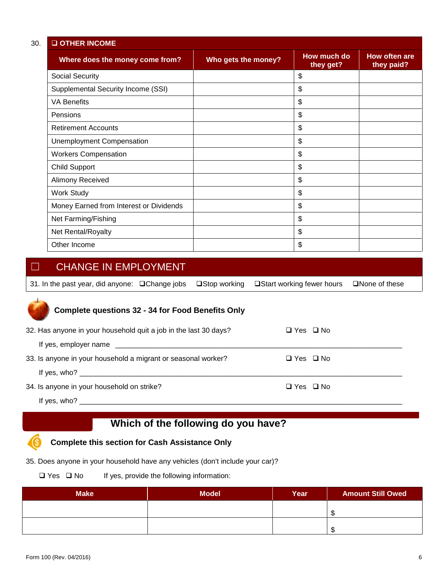| <b>O OTHER INCOME</b>                   |                     |                          |                             |
|-----------------------------------------|---------------------|--------------------------|-----------------------------|
| Where does the money come from?         | Who gets the money? | How much do<br>they get? | How often are<br>they paid? |
| <b>Social Security</b>                  |                     | \$                       |                             |
| Supplemental Security Income (SSI)      |                     | \$                       |                             |
| <b>VA Benefits</b>                      |                     | \$                       |                             |
| Pensions                                |                     | \$                       |                             |
| <b>Retirement Accounts</b>              |                     | \$                       |                             |
| <b>Unemployment Compensation</b>        |                     | \$                       |                             |
| <b>Workers Compensation</b>             |                     | \$                       |                             |
| <b>Child Support</b>                    |                     | \$                       |                             |
| Alimony Received                        |                     | \$                       |                             |
| <b>Work Study</b>                       |                     | \$                       |                             |
| Money Earned from Interest or Dividends |                     | \$                       |                             |
| Net Farming/Fishing                     |                     | \$                       |                             |
| Net Rental/Royalty                      |                     | \$                       |                             |
| Other Income                            |                     | \$                       |                             |

## ☐ CHANGE IN EMPLOYMENT

| 31. In the past year, did anyone: □Change jobs □Stop working □Start working fewer hours □None of these |  |  |
|--------------------------------------------------------------------------------------------------------|--|--|

## **Complete questions 32 - 34 for Food Benefits Only**

| 32. Has anyone in your household quit a job in the last 30 days?                                                                                                                                                                                                                          | $\Box$ Yes $\Box$ No |  |
|-------------------------------------------------------------------------------------------------------------------------------------------------------------------------------------------------------------------------------------------------------------------------------------------|----------------------|--|
|                                                                                                                                                                                                                                                                                           |                      |  |
| 33. Is anyone in your household a migrant or seasonal worker?                                                                                                                                                                                                                             | $\Box$ Yes $\Box$ No |  |
| If yes, who? $\overline{\phantom{a}}$                                                                                                                                                                                                                                                     |                      |  |
| 34. Is anyone in your household on strike?                                                                                                                                                                                                                                                | $\Box$ Yes $\Box$ No |  |
| If yes, who? $\frac{1}{2}$ and $\frac{1}{2}$ and $\frac{1}{2}$ and $\frac{1}{2}$ and $\frac{1}{2}$ and $\frac{1}{2}$ and $\frac{1}{2}$ and $\frac{1}{2}$ and $\frac{1}{2}$ and $\frac{1}{2}$ and $\frac{1}{2}$ and $\frac{1}{2}$ and $\frac{1}{2}$ and $\frac{1}{2}$ and $\frac{1}{2}$ an |                      |  |

# **Which of the following do you have?**

#### **Complete this section for Cash Assistance Only** (Ś

35. Does anyone in your household have any vehicles (don't include your car)?

 $\square$  Yes  $\square$  No If yes, provide the following information:

| <b>Make</b> | <b>Model</b> | Year | <b>Amount Still Owed</b> |
|-------------|--------------|------|--------------------------|
|             |              |      |                          |
|             |              |      |                          |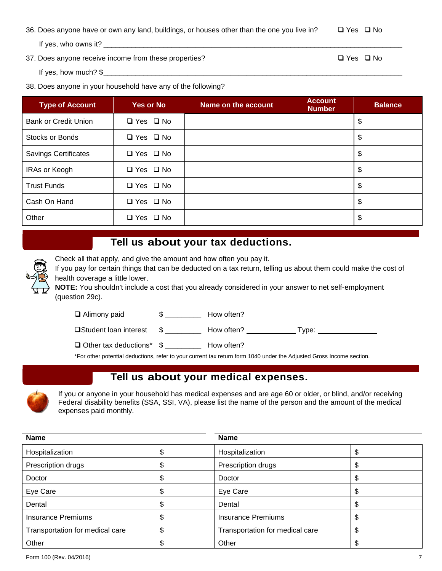36. Does anyone have or own any land, buildings, or houses other than the one you live in?  $\Box$  Yes  $\Box$  No If yes, who owns it? \_\_\_\_\_\_\_\_\_\_\_\_\_\_\_\_\_\_\_\_\_\_\_\_\_\_\_\_\_\_\_\_\_\_\_\_\_\_\_\_\_\_\_\_\_\_\_\_\_\_\_\_\_\_\_\_\_\_\_\_\_\_\_\_\_\_\_\_\_\_\_\_\_\_\_

37. Does anyone receive income from these properties?  $\Box$  Yes  $\Box$  No

If yes, how much?  $$$ 

#### 38. Does anyone in your household have any of the following?

| <b>Type of Account</b>      | <b>Yes or No</b>     | Name on the account | <b>Account</b><br><b>Number</b> | <b>Balance</b> |
|-----------------------------|----------------------|---------------------|---------------------------------|----------------|
| Bank or Credit Union        | $\Box$ Yes $\Box$ No |                     |                                 | \$             |
| Stocks or Bonds             | $\Box$ Yes $\Box$ No |                     |                                 | \$             |
| <b>Savings Certificates</b> | $\Box$ Yes $\Box$ No |                     |                                 | \$             |
| IRAs or Keogh               | $\Box$ Yes $\Box$ No |                     |                                 | \$             |
| <b>Trust Funds</b>          | $\Box$ Yes $\Box$ No |                     |                                 | \$             |
| Cash On Hand                | $\Box$ Yes $\Box$ No |                     |                                 | \$             |
| Other                       | $\Box$ Yes $\Box$ No |                     |                                 | \$             |

## **Tell us about your tax deductions.**

|                                                    | Check all that apply, and give the amount and how often you pay it.                                              |  |                                                                                                      |  |  |  |  |  |
|----------------------------------------------------|------------------------------------------------------------------------------------------------------------------|--|------------------------------------------------------------------------------------------------------|--|--|--|--|--|
| $\bigcirc$                                         | If you pay for certain things that can be deducted on a tax return, telling us about them could make the cost of |  |                                                                                                      |  |  |  |  |  |
| $\left\langle \bigoplus_{i=1}^n A_i \right\rangle$ | health coverage a little lower.                                                                                  |  |                                                                                                      |  |  |  |  |  |
|                                                    |                                                                                                                  |  | NOTE: You shouldn't include a cost that you already considered in your answer to net self-employment |  |  |  |  |  |
|                                                    | (question 29c).                                                                                                  |  |                                                                                                      |  |  |  |  |  |
|                                                    | $\Box$ Alimony paid                                                                                              |  | How often?                                                                                           |  |  |  |  |  |

| <b>□Student loan interest</b> | How often? | vpe: |
|-------------------------------|------------|------|
|                               |            |      |

□ Other tax deductions\* \$ \_\_\_\_\_\_\_\_\_\_\_ How often?

\*For other potential deductions, refer to your current tax return form 1040 under the Adjusted Gross Income section.

## **Tell us about your medical expenses.**



gP

If you or anyone in your household has medical expenses and are age 60 or older, or blind, and/or receiving Federal disability benefits (SSA, SSI, VA), please list the name of the person and the amount of the medical expenses paid monthly.

| <b>Name</b>                     |    | <b>Name</b>                     |    |  |
|---------------------------------|----|---------------------------------|----|--|
| Hospitalization                 |    | Hospitalization                 |    |  |
| Prescription drugs              | \$ | Prescription drugs              | Φ  |  |
| Doctor                          | \$ | Doctor                          | \$ |  |
| Eye Care                        | Φ  | Eye Care                        | Φ  |  |
| Dental                          | \$ | Dental                          | S  |  |
| <b>Insurance Premiums</b>       | \$ | <b>Insurance Premiums</b>       | \$ |  |
| Transportation for medical care | \$ | Transportation for medical care | J  |  |
| Other                           |    | Other                           |    |  |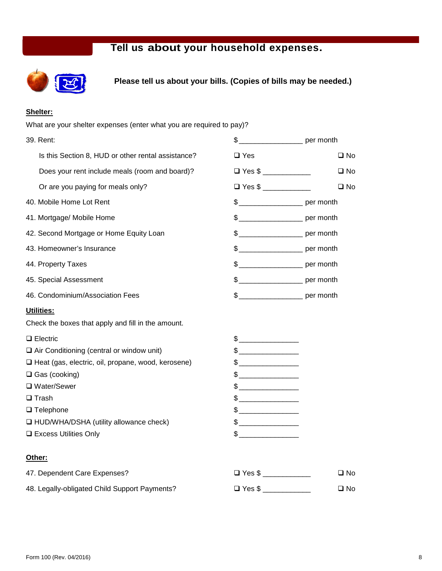# **Tell us about your household expenses.**



**Please tell us about your bills. (Copies of bills may be needed.)**

#### **Shelter:**

| What are your shelter expenses (enter what you are required to pay)? |                                                                                                                                                                                                                                                                                                                                                     |                                        |
|----------------------------------------------------------------------|-----------------------------------------------------------------------------------------------------------------------------------------------------------------------------------------------------------------------------------------------------------------------------------------------------------------------------------------------------|----------------------------------------|
| 39. Rent:                                                            |                                                                                                                                                                                                                                                                                                                                                     | \$ _________________________ per month |
| Is this Section 8, HUD or other rental assistance?                   | $\square$ Yes                                                                                                                                                                                                                                                                                                                                       | $\square$ No                           |
| Does your rent include meals (room and board)?                       | $\Box$ Yes \$                                                                                                                                                                                                                                                                                                                                       | $\square$ No                           |
| Or are you paying for meals only?                                    | $\Box$ Yes \$                                                                                                                                                                                                                                                                                                                                       | $\square$ No                           |
| 40. Mobile Home Lot Rent                                             |                                                                                                                                                                                                                                                                                                                                                     | \$ ________________________ per month  |
| 41. Mortgage/ Mobile Home                                            |                                                                                                                                                                                                                                                                                                                                                     | \$ _______________________ per month   |
| 42. Second Mortgage or Home Equity Loan                              |                                                                                                                                                                                                                                                                                                                                                     | \$ ________________________ per month  |
| 43. Homeowner's Insurance                                            |                                                                                                                                                                                                                                                                                                                                                     | \$ ________________________ per month  |
| 44. Property Taxes                                                   |                                                                                                                                                                                                                                                                                                                                                     | \$ ________________________ per month  |
| 45. Special Assessment                                               |                                                                                                                                                                                                                                                                                                                                                     | \$ ________________________ per month  |
| 46. Condominium/Association Fees                                     |                                                                                                                                                                                                                                                                                                                                                     | \$ ________________________ per month  |
| Utilities:                                                           |                                                                                                                                                                                                                                                                                                                                                     |                                        |
| Check the boxes that apply and fill in the amount.                   |                                                                                                                                                                                                                                                                                                                                                     |                                        |
| $\Box$ Electric                                                      | $\begin{picture}(20,10) \put(0,0){\line(1,0){10}} \put(15,0){\line(1,0){10}} \put(15,0){\line(1,0){10}} \put(15,0){\line(1,0){10}} \put(15,0){\line(1,0){10}} \put(15,0){\line(1,0){10}} \put(15,0){\line(1,0){10}} \put(15,0){\line(1,0){10}} \put(15,0){\line(1,0){10}} \put(15,0){\line(1,0){10}} \put(15,0){\line(1,0){10}} \put(15,0){\line(1$ |                                        |
| $\Box$ Air Conditioning (central or window unit)                     | $\frac{1}{2}$                                                                                                                                                                                                                                                                                                                                       |                                        |
| □ Heat (gas, electric, oil, propane, wood, kerosene)                 | $\begin{picture}(20,10) \put(0,0){\line(1,0){10}} \put(15,0){\line(1,0){10}} \put(15,0){\line(1,0){10}} \put(15,0){\line(1,0){10}} \put(15,0){\line(1,0){10}} \put(15,0){\line(1,0){10}} \put(15,0){\line(1,0){10}} \put(15,0){\line(1,0){10}} \put(15,0){\line(1,0){10}} \put(15,0){\line(1,0){10}} \put(15,0){\line(1,0){10}} \put(15,0){\line(1$ |                                        |
| $\Box$ Gas (cooking)                                                 | $\begin{picture}(20,10) \put(0,0){\line(1,0){100}} \put(15,0){\line(1,0){100}} \put(15,0){\line(1,0){100}} \put(15,0){\line(1,0){100}} \put(15,0){\line(1,0){100}} \put(15,0){\line(1,0){100}} \put(15,0){\line(1,0){100}} \put(15,0){\line(1,0){100}} \put(15,0){\line(1,0){100}} \put(15,0){\line(1,0){100}} \put(15,0){\line(1,0){100}} \$       |                                        |
| □ Water/Sewer                                                        | $\begin{picture}(20,20) \put(0,0){\line(1,0){100}} \put(15,0){\line(1,0){100}} \put(15,0){\line(1,0){100}} \put(15,0){\line(1,0){100}} \put(15,0){\line(1,0){100}} \put(15,0){\line(1,0){100}} \put(15,0){\line(1,0){100}} \put(15,0){\line(1,0){100}} \put(15,0){\line(1,0){100}} \put(15,0){\line(1,0){100}} \put(15,0){\line(1,0){100}} \$       |                                        |
| $\square$ Trash                                                      | $\frac{1}{2}$                                                                                                                                                                                                                                                                                                                                       |                                        |
| $\Box$ Telephone                                                     | $\frac{1}{2}$                                                                                                                                                                                                                                                                                                                                       |                                        |
| I HUD/WHA/DSHA (utility allowance check)                             | $\begin{picture}(20,10) \put(0,0){\line(1,0){10}} \put(15,0){\line(1,0){10}} \put(15,0){\line(1,0){10}} \put(15,0){\line(1,0){10}} \put(15,0){\line(1,0){10}} \put(15,0){\line(1,0){10}} \put(15,0){\line(1,0){10}} \put(15,0){\line(1,0){10}} \put(15,0){\line(1,0){10}} \put(15,0){\line(1,0){10}} \put(15,0){\line(1,0){10}} \put(15,0){\line(1$ |                                        |
| □ Excess Utilities Only                                              | $\begin{picture}(20,20) \put(0,0){\line(1,0){100}} \put(15,0){\line(1,0){100}} \put(15,0){\line(1,0){100}} \put(15,0){\line(1,0){100}} \put(15,0){\line(1,0){100}} \put(15,0){\line(1,0){100}} \put(15,0){\line(1,0){100}} \put(15,0){\line(1,0){100}} \put(15,0){\line(1,0){100}} \put(15,0){\line(1,0){100}} \put(15,0){\line(1,0){100}} \$       |                                        |
| Other:                                                               |                                                                                                                                                                                                                                                                                                                                                     |                                        |
| 47. Dependent Care Expenses?                                         | $\Box$ Yes \$                                                                                                                                                                                                                                                                                                                                       | $\square$ No                           |
| 48. Legally-obligated Child Support Payments?                        | $\Box$ Yes \$                                                                                                                                                                                                                                                                                                                                       | $\square$ No                           |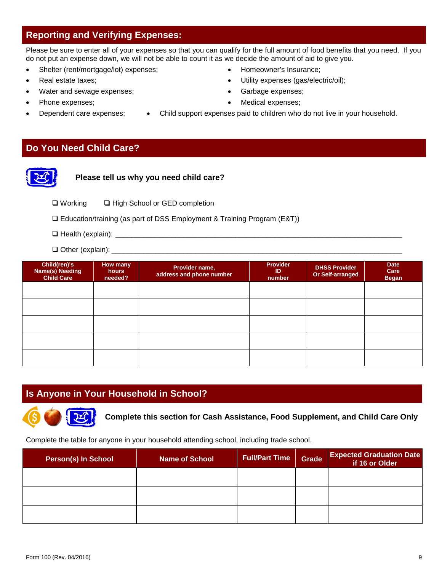## **Reporting and Verifying Expenses:**

Please be sure to enter all of your expenses so that you can qualify for the full amount of food benefits that you need. If you do not put an expense down, we will not be able to count it as we decide the amount of aid to give you.

- Shelter (rent/mortgage/lot) expenses; • Homeowner's Insurance;
- **Provide Algebra 12 Algebra 12 Algebra 12 Algebra 12 Algebra 12 Algebra 12 Algebra 12 Algebra 12 Algebra 12 Algebra 12 Algebra 12 Algebra 12 Algebra 12 Algebra 12 Algebra 12 Algebra 12 Algebra 12 Algebra 12 Algebra 12 Alge**
- Water and sewage expenses;  $\bullet$  Garbage expenses;
- Phone expenses;  $\bullet$  Medical expenses;
- - Dependent care expenses; Child support expenses paid to children who do not live in your household.

## **Do You Need Child Care?**



**Please tell us why you need child care?**

- □ Working □ High School or GED completion
- Education/training (as part of DSS Employment & Training Program (E&T))
- $\Box$  Health (explain):  $\Box$
- $\Box$  Other (explain):  $\Box$

| Child(ren)'s<br><b>Name(s) Needing</b><br><b>Child Care</b> | How many<br>hours<br>needed? | Provider name,<br>address and phone number | <b>Provider</b><br>ID<br>number | <b>DHSS Provider</b><br>Or Self-arranged | <b>Date</b><br>Care<br><b>Began</b> |
|-------------------------------------------------------------|------------------------------|--------------------------------------------|---------------------------------|------------------------------------------|-------------------------------------|
|                                                             |                              |                                            |                                 |                                          |                                     |
|                                                             |                              |                                            |                                 |                                          |                                     |
|                                                             |                              |                                            |                                 |                                          |                                     |
|                                                             |                              |                                            |                                 |                                          |                                     |
|                                                             |                              |                                            |                                 |                                          |                                     |

## **Is Anyone in Your Household in School?**



**Complete this section for Cash Assistance, Food Supplement, and Child Care Only**

Complete the table for anyone in your household attending school, including trade school.

| <b>Person(s) In School</b> | <b>Name of School</b> | <b>Full/Part Time</b> | Grade | <b>Expected Graduation Date</b><br>if 16 or Older |
|----------------------------|-----------------------|-----------------------|-------|---------------------------------------------------|
|                            |                       |                       |       |                                                   |
|                            |                       |                       |       |                                                   |
|                            |                       |                       |       |                                                   |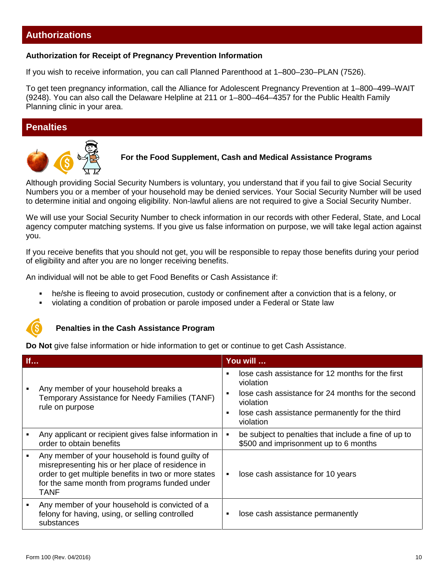## **Authorizations**

#### **Authorization for Receipt of Pregnancy Prevention Information**

If you wish to receive information, you can call Planned Parenthood at 1–800–230–PLAN (7526).

To get teen pregnancy information, call the Alliance for Adolescent Pregnancy Prevention at 1–800–499–WAIT (9248). You can also call the Delaware Helpline at 211 or 1–800–464–4357 for the Public Health Family Planning clinic in your area.

### **Penalties**



#### **For the Food Supplement, Cash and Medical Assistance Programs**

Although providing Social Security Numbers is voluntary, you understand that if you fail to give Social Security Numbers you or a member of your household may be denied services. Your Social Security Number will be used to determine initial and ongoing eligibility. Non-lawful aliens are not required to give a Social Security Number.

We will use your Social Security Number to check information in our records with other Federal, State, and Local agency computer matching systems. If you give us false information on purpose, we will take legal action against you.

If you receive benefits that you should not get, you will be responsible to repay those benefits during your period of eligibility and after you are no longer receiving benefits.

An individual will not be able to get Food Benefits or Cash Assistance if:

- he/she is fleeing to avoid prosecution, custody or confinement after a conviction that is a felony, or
- violating a condition of probation or parole imposed under a Federal or State law



#### **Penalties in the Cash Assistance Program**

**Do Not** give false information or hide information to get or continue to get Cash Assistance.

| If |                                                                                                                                                                                                                             | You will                                                                                                                                                                                                                                             |  |  |
|----|-----------------------------------------------------------------------------------------------------------------------------------------------------------------------------------------------------------------------------|------------------------------------------------------------------------------------------------------------------------------------------------------------------------------------------------------------------------------------------------------|--|--|
|    | Any member of your household breaks a<br>Temporary Assistance for Needy Families (TANF)<br>rule on purpose                                                                                                                  | lose cash assistance for 12 months for the first<br>$\blacksquare$<br>violation<br>lose cash assistance for 24 months for the second<br>$\blacksquare$<br>violation<br>lose cash assistance permanently for the third<br>$\blacksquare$<br>violation |  |  |
|    | Any applicant or recipient gives false information in<br>order to obtain benefits                                                                                                                                           | be subject to penalties that include a fine of up to<br>$\blacksquare$<br>\$500 and imprisonment up to 6 months                                                                                                                                      |  |  |
|    | Any member of your household is found guilty of<br>misrepresenting his or her place of residence in<br>order to get multiple benefits in two or more states<br>for the same month from programs funded under<br><b>TANF</b> | lose cash assistance for 10 years<br>٠                                                                                                                                                                                                               |  |  |
|    | Any member of your household is convicted of a<br>felony for having, using, or selling controlled<br>substances                                                                                                             | lose cash assistance permanently<br>٠                                                                                                                                                                                                                |  |  |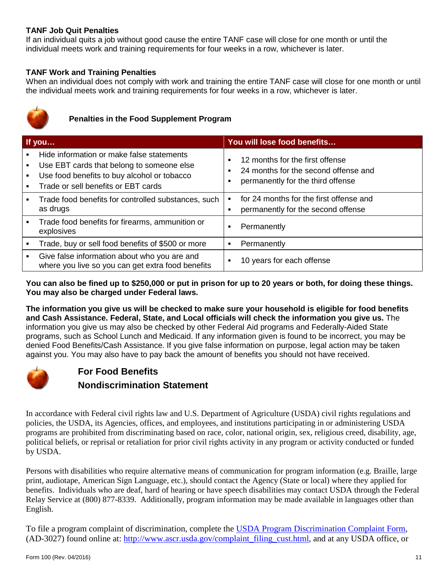#### **TANF Job Quit Penalties**

If an individual quits a job without good cause the entire TANF case will close for one month or until the individual meets work and training requirements for four weeks in a row, whichever is later.

#### **TANF Work and Training Penalties**

When an individual does not comply with work and training the entire TANF case will close for one month or until the individual meets work and training requirements for four weeks in a row, whichever is later.



## **Penalties in the Food Supplement Program**

| If you |                                                                                                                                                                              | You will lose food benefits |                                                                                                              |  |
|--------|------------------------------------------------------------------------------------------------------------------------------------------------------------------------------|-----------------------------|--------------------------------------------------------------------------------------------------------------|--|
|        | Hide information or make false statements<br>Use EBT cards that belong to someone else<br>Use food benefits to buy alcohol or tobacco<br>Trade or sell benefits or EBT cards | п<br>п                      | 12 months for the first offense<br>24 months for the second offense and<br>permanently for the third offense |  |
|        | Trade food benefits for controlled substances, such<br>as drugs                                                                                                              |                             | for 24 months for the first offense and<br>permanently for the second offense                                |  |
|        | Trade food benefits for firearms, ammunition or<br>explosives                                                                                                                | п                           | Permanently                                                                                                  |  |
|        | Trade, buy or sell food benefits of \$500 or more                                                                                                                            | в                           | Permanently                                                                                                  |  |
|        | Give false information about who you are and<br>where you live so you can get extra food benefits                                                                            |                             | 10 years for each offense                                                                                    |  |

**You can also be fined up to \$250,000 or put in prison for up to 20 years or both, for doing these things. You may also be charged under Federal laws.**

**The information you give us will be checked to make sure your household is eligible for food benefits and Cash Assistance. Federal, State, and Local officials will check the information you give us.** The information you give us may also be checked by other Federal Aid programs and Federally-Aided State programs, such as School Lunch and Medicaid. If any information given is found to be incorrect, you may be denied Food Benefits/Cash Assistance. If you give false information on purpose, legal action may be taken against you. You may also have to pay back the amount of benefits you should not have received.



## **For Food Benefits Nondiscrimination Statement**

In accordance with Federal civil rights law and U.S. Department of Agriculture (USDA) civil rights regulations and policies, the USDA, its Agencies, offices, and employees, and institutions participating in or administering USDA programs are prohibited from discriminating based on race, color, national origin, sex, religious creed, disability, age, political beliefs, or reprisal or retaliation for prior civil rights activity in any program or activity conducted or funded by USDA.

Persons with disabilities who require alternative means of communication for program information (e.g. Braille, large print, audiotape, American Sign Language, etc.), should contact the Agency (State or local) where they applied for benefits. Individuals who are deaf, hard of hearing or have speech disabilities may contact USDA through the Federal Relay Service at (800) 877-8339. Additionally, program information may be made available in languages other than English.

To file a program complaint of discrimination, complete the [USDA Program Discrimination Complaint Form,](http://www.ocio.usda.gov/sites/default/files/docs/2012/Complain_combined_6_8_12.pdf) (AD-3027) found online at: [http://www.ascr.usda.gov/complaint\\_filing\\_cust.html,](http://www.ascr.usda.gov/complaint_filing_cust.html) and at any USDA office, or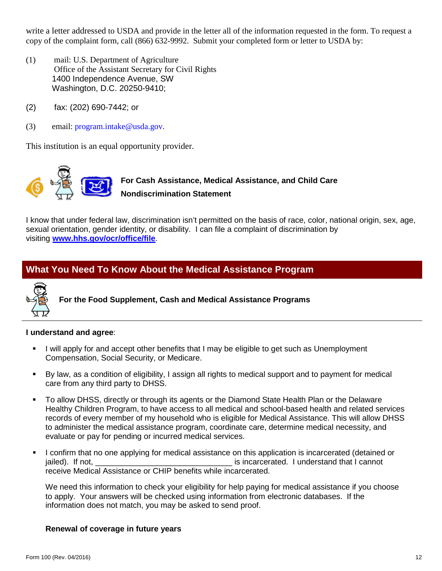write a letter addressed to USDA and provide in the letter all of the information requested in the form. To request a copy of the complaint form, call (866) 632-9992. Submit your completed form or letter to USDA by:

- (1) mail: U.S. Department of Agriculture Office of the Assistant Secretary for Civil Rights 1400 Independence Avenue, SW Washington, D.C. 20250-9410;
- (2) fax: (202) 690-7442; or
- (3) email: program.intake@usda.gov.

This institution is an equal opportunity provider.



I know that under federal law, discrimination isn't permitted on the basis of race, color, national origin, sex, age, sexual orientation, gender identity, or disability. I can file a complaint of discrimination by visiting **[www.hhs.gov/ocr/office/file](http://www.hhs.gov/ocr/office/file)**.

## **What You Need To Know About the Medical Assistance Program**



**For the Food Supplement, Cash and Medical Assistance Programs**

#### **I understand and agree**:

- I will apply for and accept other benefits that I may be eligible to get such as Unemployment Compensation, Social Security, or Medicare.
- By law, as a condition of eligibility, I assign all rights to medical support and to payment for medical care from any third party to DHSS.
- To allow DHSS, directly or through its agents or the Diamond State Health Plan or the Delaware Healthy Children Program, to have access to all medical and school-based health and related services records of every member of my household who is eligible for Medical Assistance. This will allow DHSS to administer the medical assistance program, coordinate care, determine medical necessity, and evaluate or pay for pending or incurred medical services.
- I confirm that no one applying for medical assistance on this application is incarcerated (detained or jailed). If not, the same state of the state of the state of the state of the state of the state of the state o receive Medical Assistance or CHIP benefits while incarcerated.

We need this information to check your eligibility for help paying for medical assistance if you choose to apply. Your answers will be checked using information from electronic databases. If the information does not match, you may be asked to send proof.

#### **Renewal of coverage in future years**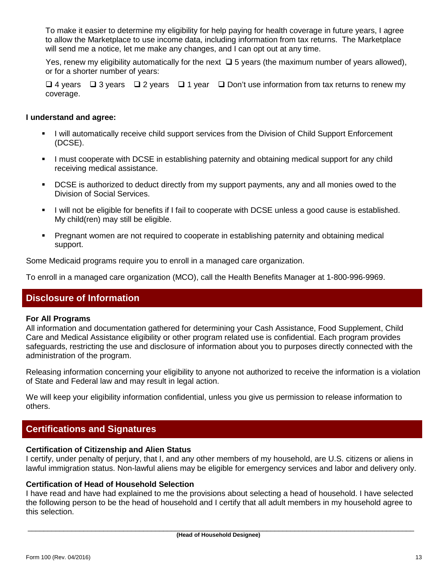To make it easier to determine my eligibility for help paying for health coverage in future years, I agree to allow the Marketplace to use income data, including information from tax returns. The Marketplace will send me a notice, let me make any changes, and I can opt out at any time.

Yes, renew my eligibility automatically for the next  $\Box$  5 years (the maximum number of years allowed), or for a shorter number of years:

 $\Box$  4 years  $\Box$  3 years  $\Box$  2 years  $\Box$  1 year  $\Box$  Don't use information from tax returns to renew my coverage.

#### **I understand and agree:**

- **I** will automatically receive child support services from the Division of Child Support Enforcement (DCSE).
- **I** must cooperate with DCSE in establishing paternity and obtaining medical support for any child receiving medical assistance.
- DCSE is authorized to deduct directly from my support payments, any and all monies owed to the Division of Social Services.
- I will not be eligible for benefits if I fail to cooperate with DCSE unless a good cause is established. My child(ren) may still be eligible.
- Pregnant women are not required to cooperate in establishing paternity and obtaining medical support.

Some Medicaid programs require you to enroll in a managed care organization.

To enroll in a managed care organization (MCO), call the Health Benefits Manager at 1-800-996-9969.

## **Disclosure of Information**

#### **For All Programs**

All information and documentation gathered for determining your Cash Assistance, Food Supplement, Child Care and Medical Assistance eligibility or other program related use is confidential. Each program provides safeguards, restricting the use and disclosure of information about you to purposes directly connected with the administration of the program.

Releasing information concerning your eligibility to anyone not authorized to receive the information is a violation of State and Federal law and may result in legal action.

We will keep your eligibility information confidential, unless you give us permission to release information to others.

## **Certifications and Signatures**

#### **Certification of Citizenship and Alien Status**

I certify, under penalty of perjury, that I, and any other members of my household, are U.S. citizens or aliens in lawful immigration status. Non-lawful aliens may be eligible for emergency services and labor and delivery only.

#### **Certification of Head of Household Selection**

I have read and have had explained to me the provisions about selecting a head of household. I have selected the following person to be the head of household and I certify that all adult members in my household agree to this selection.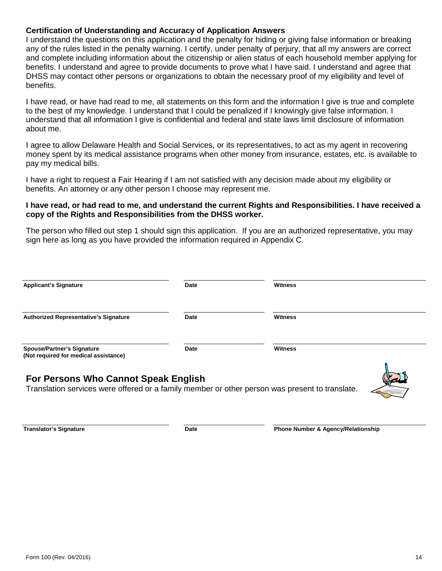#### **Certification of Understanding and Accuracy of Application Answers**

I understand the questions on this application and the penalty for hiding or giving false information or breaking any of the rules listed in the penalty warning. I certify, under penalty of perjury, that all my answers are correct and complete including information about the citizenship or alien status of each household member applying for benefits. I understand and agree to provide documents to prove what I have said. I understand and agree that DHSS may contact other persons or organizations to obtain the necessary proof of my eligibility and level of benefits.

I have read, or have had read to me, all statements on this form and the information I give is true and complete to the best of my knowledge. I understand that I could be penalized if I knowingly give false information. I understand that all information I give is confidential and federal and state laws limit disclosure of information about me.

I agree to allow Delaware Health and Social Services, or its representatives, to act as my agent in recovering money spent by its medical assistance programs when other money from insurance, estates, etc. is available to pay my medical bills.

I have a right to request a Fair Hearing if I am not satisfied with any decision made about my eligibility or benefits. An attorney or any other person I choose may represent me.

#### **I have read, or had read to me, and understand the current Rights and Responsibilities. I have received a copy of the Rights and Responsibilities from the DHSS worker.**

The person who filled out step 1 should sign this application. If you are an authorized representative, you may sign here as long as you have provided the information required in Appendix C.

| <b>Applicant's Signature</b>                                                                                                           | Date | <b>Witness</b> |
|----------------------------------------------------------------------------------------------------------------------------------------|------|----------------|
| <b>Authorized Representative's Signature</b>                                                                                           | Date | <b>Witness</b> |
| <b>Spouse/Partner's Signature</b><br>(Not required for medical assistance)                                                             | Date | <b>Witness</b> |
| For Persons Who Cannot Speak English<br>Translation services were offered or a family member or other person was present to translate. |      |                |

**Translator's Signature Date Date Phone Number & Agency/Relationship**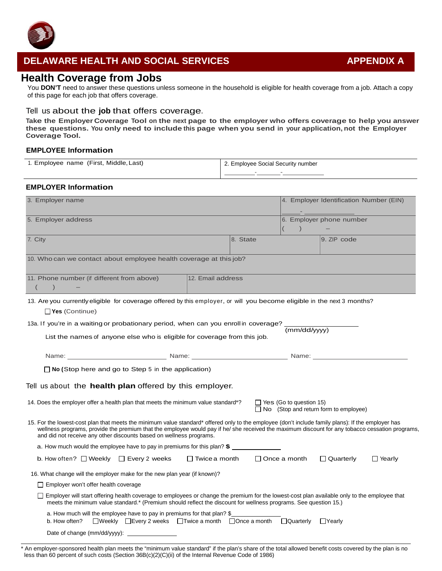

## **DELAWARE HEALTH AND SOCIAL SERVICES APPENDIX A**

## **Health Coverage from Jobs**

You **DON'T** need to answer these questions unless someone in the household is eligible for health coverage from a job. Attach a copy of this page for each job that offers coverage.

#### Tell us about the **job** that offers coverage.

**Take the Employer Coverage Tool on the next page to the employer who offers coverage to help you answer these questions. You only need to include this page when you send in your application, not the Employer Coverage Tool.**

#### **EMPLOYEE Information**

| 1. Employee name (First, Middle, Last) | 2. Employee Social Security number |  |  |
|----------------------------------------|------------------------------------|--|--|
|                                        |                                    |  |  |

#### **EMPLOYER Information**

| 3. Employer name                                                                                                                                                                                                                                                                                                                                                             | 4. Employer Identification Number (EIN)                                        |  |  |  |  |
|------------------------------------------------------------------------------------------------------------------------------------------------------------------------------------------------------------------------------------------------------------------------------------------------------------------------------------------------------------------------------|--------------------------------------------------------------------------------|--|--|--|--|
| 5. Employer address                                                                                                                                                                                                                                                                                                                                                          | 6. Employer phone number                                                       |  |  |  |  |
| 7. City                                                                                                                                                                                                                                                                                                                                                                      | 8. State<br>9. ZIP code                                                        |  |  |  |  |
| 10. Who can we contact about employee health coverage at this job?                                                                                                                                                                                                                                                                                                           |                                                                                |  |  |  |  |
| 11. Phone number (if different from above)<br>12. Email address<br>$\lambda$                                                                                                                                                                                                                                                                                                 |                                                                                |  |  |  |  |
| 13. Are you currently eligible for coverage offered by this employer, or will you become eligible in the next 3 months?<br>$\Box$ Yes (Continue)                                                                                                                                                                                                                             |                                                                                |  |  |  |  |
| 13a. If you're in a waiting or probationary period, when can you enroll in coverage?<br>List the names of anyone else who is eligible for coverage from this job.                                                                                                                                                                                                            | (mm/dd/vvvv)                                                                   |  |  |  |  |
|                                                                                                                                                                                                                                                                                                                                                                              |                                                                                |  |  |  |  |
| $\Box$ No (Stop here and go to Step 5 in the application)                                                                                                                                                                                                                                                                                                                    |                                                                                |  |  |  |  |
| Tell us about the health plan offered by this employer.                                                                                                                                                                                                                                                                                                                      |                                                                                |  |  |  |  |
| 14. Does the employer offer a health plan that meets the minimum value standard*?                                                                                                                                                                                                                                                                                            | $\Box$ Yes (Go to question 15)<br>$\Box$ No (Stop and return form to employee) |  |  |  |  |
| 15. For the lowest-cost plan that meets the minimum value standard* offered only to the employee (don't include family plans): If the employer has<br>wellness programs, provide the premium that the employee would pay if he/ she received the maximum discount for any tobacco cessation programs,<br>and did not receive any other discounts based on wellness programs. |                                                                                |  |  |  |  |
| a. How much would the employee have to pay in premiums for this plan? $\frac{2}{3}$                                                                                                                                                                                                                                                                                          |                                                                                |  |  |  |  |
| b. How often? $\Box$ Weekly $\Box$ Every 2 weeks<br>$\Box$ Twice a month                                                                                                                                                                                                                                                                                                     | $\Box$ Once a month<br>$\Box$ Quarterly<br>$\Box$ Yearly                       |  |  |  |  |
| 16. What change will the employer make for the new plan year (if known)?                                                                                                                                                                                                                                                                                                     |                                                                                |  |  |  |  |
| $\Box$ Employer won't offer health coverage                                                                                                                                                                                                                                                                                                                                  |                                                                                |  |  |  |  |
| □ Employer will start offering health coverage to employees or change the premium for the lowest-cost plan available only to the employee that<br>meets the minimum value standard.* (Premium should reflect the discount for wellness programs. See question 15.)                                                                                                           |                                                                                |  |  |  |  |
| a. How much will the employee have to pay in premiums for that plan? \$<br>□Weekly □Every 2 weeks □Twice a month □Once a month<br>b. How often?                                                                                                                                                                                                                              | $\Box$ Quarterly<br>$\Box$ Yearly                                              |  |  |  |  |
| Date of change (mm/dd/yyyy):                                                                                                                                                                                                                                                                                                                                                 |                                                                                |  |  |  |  |

\* An employer-sponsored health plan meets the "minimum value standard" if the plan's share of the total allowed benefit costs covered by the plan is no less than 60 percent of such costs (Section 36B(c)(2)(C)(ii) of the Internal Revenue Code of 1986)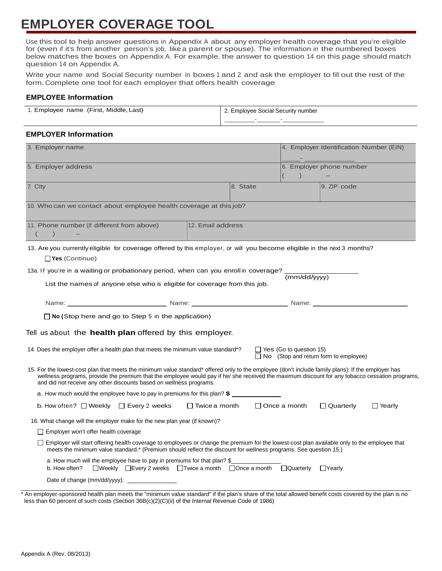# **EMPLOYER COVERAGE TOOL**

Use this tool to help answer questions in Appendix A about any employer health coverage that you're eligible for (even if it's from another person's job, like a parent or spouse). The information in the numbered boxes below matches the boxes on Appendix A. For example, the answer to question 14 on this page should match question 14 on Appendix A.

Write your name and Social Security number in boxes <sup>1</sup> and 2 and ask the employer to fill out the rest of the form. Complete one tool for each employer that offers health coverage.

#### **EMPLOYEE Information**

| 1. Employee name (First, Middle, Last) | 2. Employee Social Security number |  |  |
|----------------------------------------|------------------------------------|--|--|
|                                        |                                    |  |  |

#### **EMPLOYER Information**

| 3. Employer name                                                                                                                                                                                                                                                                                                                                                            |  |                                | 4. Employer Identification Number (EIN)      |               |  |  |
|-----------------------------------------------------------------------------------------------------------------------------------------------------------------------------------------------------------------------------------------------------------------------------------------------------------------------------------------------------------------------------|--|--------------------------------|----------------------------------------------|---------------|--|--|
| 5. Employer address                                                                                                                                                                                                                                                                                                                                                         |  |                                | 6. Employer phone number                     |               |  |  |
| 8. State<br>7. City                                                                                                                                                                                                                                                                                                                                                         |  |                                | 9. ZIP code                                  |               |  |  |
| 10. Who can we contact about employee health coverage at this job?                                                                                                                                                                                                                                                                                                          |  |                                |                                              |               |  |  |
| 11. Phone number (if different from above)<br>12. Email address                                                                                                                                                                                                                                                                                                             |  |                                |                                              |               |  |  |
| 13. Are you currently eligible for coverage offered by this employer, or will you become eligible in the next 3 months?<br>$\Box$ Yes (Continue)                                                                                                                                                                                                                            |  |                                |                                              |               |  |  |
| 13a. If you're in a waiting or probationary period, when can you enroll in coverage? (mm/dd/yyyy)<br>List the names of anyone else who is eligible for coverage from this job.                                                                                                                                                                                              |  |                                |                                              |               |  |  |
| Name: Name: Name: Name: Name: Name: Name: Name: Name: Name: Name: Name: Name: Name: Name: Name: Name: Name: Name: Name: Name: Name: Name: Name: Name: Name: Name: Name: Name: Name: Name: Name: Name: Name: Name: Name: Name:                                                                                                                                               |  |                                |                                              |               |  |  |
| $\Box$ No (Stop here and go to Step 5 in the application)                                                                                                                                                                                                                                                                                                                   |  |                                |                                              |               |  |  |
| Tell us about the health plan offered by this employer.                                                                                                                                                                                                                                                                                                                     |  |                                |                                              |               |  |  |
| 14. Does the employer offer a health plan that meets the minimum value standard*?                                                                                                                                                                                                                                                                                           |  | $\Box$ Yes (Go to question 15) | $\Box$ No (Stop and return form to employee) |               |  |  |
| 15. For the lowest-cost plan that meets the minimum value standard* offered only to the employee (don't include family plans): If the employer has<br>wellness programs, provide the premium that the employee would pay if he/she received the maximum discount for any tobacco cessation programs,<br>and did not receive any other discounts based on wellness programs. |  |                                |                                              |               |  |  |
| a. How much would the employee have to pay in premiums for this plan? $$$                                                                                                                                                                                                                                                                                                   |  |                                |                                              |               |  |  |
| b. How often? $\Box$ Weekly $\Box$ Every 2 weeks<br>$\Box$ Twice a month                                                                                                                                                                                                                                                                                                    |  | $\Box$ Once a month            | $\Box$ Quarterly                             | $\Box$ Yearly |  |  |
| 16. What change will the employer make for the new plan year (if known)?                                                                                                                                                                                                                                                                                                    |  |                                |                                              |               |  |  |
| $\Box$ Employer won't offer health coverage                                                                                                                                                                                                                                                                                                                                 |  |                                |                                              |               |  |  |
| □ Employer will start offering health coverage to employees or change the premium for the lowest-cost plan available only to the employee that<br>meets the minimum value standard.* (Premium should reflect the discount for wellness programs. See question 15.)                                                                                                          |  |                                |                                              |               |  |  |
| a. How much will the employee have to pay in premiums for that plan? \$<br>□Weekly □Every 2 weeks □Twice a month □Once a month<br>b. How often?                                                                                                                                                                                                                             |  | □Quarterly                     | $\Box$ Yearly                                |               |  |  |
|                                                                                                                                                                                                                                                                                                                                                                             |  |                                |                                              |               |  |  |

\* An employer-sponsored health plan meets the "minimum value standard" if the plan's share of the total allowed benefit costs covered by the plan is no less than 60 percent of such costs (Section 36B(c)(2)(C)(ii) of the Internal Revenue Code of 1986)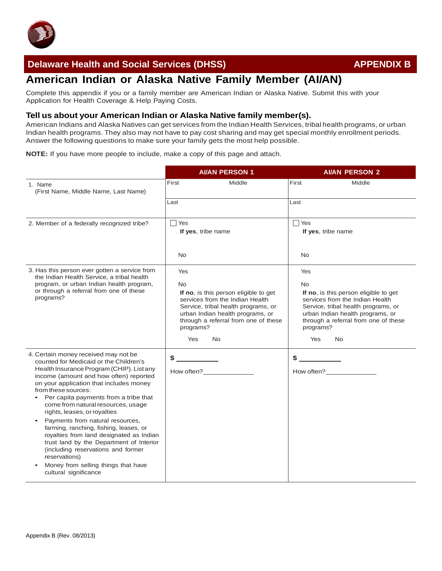

## **Delaware Health and Social Services (DHSS)** APPENDIX B

# **American Indian or Alaska Native Family Member (AI/AN)**

Complete this appendix if you or a family member are American Indian or Alaska Native. Submit this with your Application for Health Coverage & Help Paying Costs.

#### **Tell us about your American Indian or Alaska Native family member(s).**

American Indians and Alaska Natives can get services from the Indian Health Services, tribal health programs, or urban Indian health programs. They also may not have to pay cost sharing and may get special monthly enrollment periods. Answer the following questions to make sure your family gets the most help possible.

**NOTE:** If you have more people to include, make a copy of this page and attach.

|                                                                                                                                                                                                                                                                                                                                                                                                                                                                                                                                                                                                                                                                  | <b>AI/AN PERSON 1</b>                       |                                                                                                                                                                                                          | <b>AI/AN PERSON 2</b>                |                                                                                                                                                                                                                                       |
|------------------------------------------------------------------------------------------------------------------------------------------------------------------------------------------------------------------------------------------------------------------------------------------------------------------------------------------------------------------------------------------------------------------------------------------------------------------------------------------------------------------------------------------------------------------------------------------------------------------------------------------------------------------|---------------------------------------------|----------------------------------------------------------------------------------------------------------------------------------------------------------------------------------------------------------|--------------------------------------|---------------------------------------------------------------------------------------------------------------------------------------------------------------------------------------------------------------------------------------|
| 1. Name<br>(First Name, Middle Name, Last Name)                                                                                                                                                                                                                                                                                                                                                                                                                                                                                                                                                                                                                  | First                                       | Middle                                                                                                                                                                                                   | First                                | Middle                                                                                                                                                                                                                                |
|                                                                                                                                                                                                                                                                                                                                                                                                                                                                                                                                                                                                                                                                  | Last                                        |                                                                                                                                                                                                          | Last                                 |                                                                                                                                                                                                                                       |
| 2. Member of a federally recognized tribe?                                                                                                                                                                                                                                                                                                                                                                                                                                                                                                                                                                                                                       | $\sqsupset$ Yes<br>If yes, tribe name       |                                                                                                                                                                                                          | Yes<br>If yes, tribe name            |                                                                                                                                                                                                                                       |
|                                                                                                                                                                                                                                                                                                                                                                                                                                                                                                                                                                                                                                                                  | <b>No</b>                                   |                                                                                                                                                                                                          | <b>No</b>                            |                                                                                                                                                                                                                                       |
| 3. Has this person ever gotten a service from<br>the Indian Health Service, a tribal health<br>program, or urban Indian health program,<br>or through a referral from one of these<br>programs?                                                                                                                                                                                                                                                                                                                                                                                                                                                                  | Yes<br><b>No</b><br>programs?<br><b>Yes</b> | If no, is this person eligible to get<br>services from the Indian Health<br>Service, tribal health programs, or<br>urban Indian health programs, or<br>through a referral from one of these<br><b>No</b> | Yes<br><b>No</b><br>programs?<br>Yes | If no, is this person eligible to get<br>services from the Indian Health<br>Service, tribal health programs, or<br>urban Indian health programs, or<br>through a referral from one of these<br>No.                                    |
| 4. Certain money received may not be<br>counted for Medicaid or the Children's<br>Health Insurance Program (CHIP). List any<br>income (amount and how often) reported<br>on your application that includes money<br>from these sources:<br>Per capita payments from a tribe that<br>$\bullet$<br>come from natural resources, usage<br>rights, leases, or royalties<br>Payments from natural resources,<br>farming, ranching, fishing, leases, or<br>royalties from land designated as Indian<br>trust land by the Department of Interior<br>(including reservations and former<br>reservations)<br>Money from selling things that have<br>cultural significance | \$                                          | How often?                                                                                                                                                                                               | \$                                   | How often?<br><u>Letter</u> and the set of the set of the set of the set of the set of the set of the set of the set of the set of the set of the set of the set of the set of the set of the set of the set of the set of the set of |